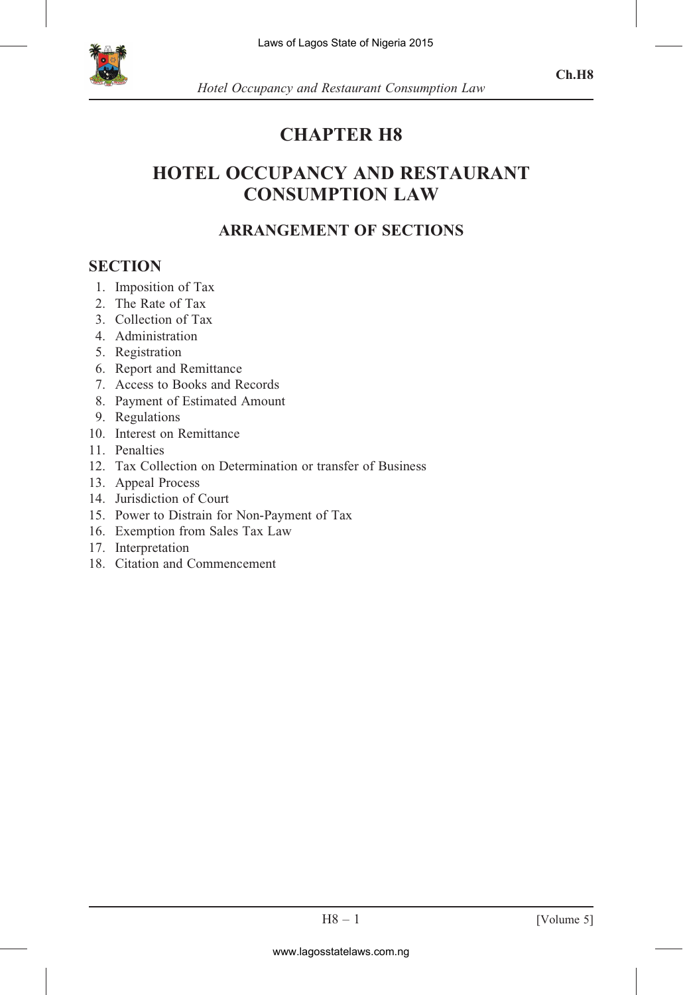

# CHAPTER H8

# HOTEL OCCUPANCY AND RESTAURANT CONSUMPTION LAW

# ARRANGEMENT OF SECTIONS

## **SECTION**

- 1. Imposition of Tax
- 2. The Rate of Tax
- 3. Collection of Tax
- 4. Administration
- 5. Registration
- 6. Report and Remittance
- 7. Access to Books and Records
- 8. Payment of Estimated Amount
- 9. Regulations
- 10. Interest on Remittance
- 11. Penalties
- 12. Tax Collection on Determination or transfer of Business
- 13. Appeal Process
- 14. Jurisdiction of Court
- 15. Power to Distrain for Non-Payment of Tax
- 16. Exemption from Sales Tax Law
- 17. Interpretation
- 18. Citation and Commencement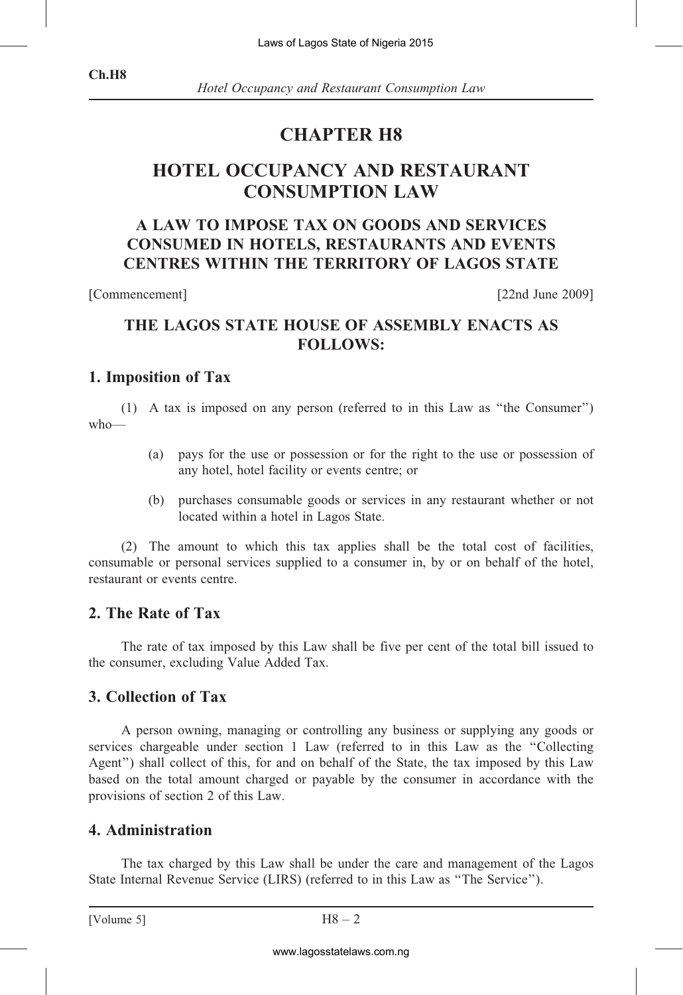Hotel Occupancy and Restaurant Consumption Law

# CHAPTER H8

# HOTEL OCCUPANCY AND RESTAURANT CONSUMPTION LAW

# A LAW TO IMPOSE TAX ON GOODS AND SERVICES CONSUMED IN HOTELS, RESTAURANTS AND EVENTS CENTRES WITHIN THE TERRITORY OF LAGOS STATE

[Commencement] [22nd June 2009]

# THE LAGOS STATE HOUSE OF ASSEMBLY ENACTS AS FOLLOWS:

#### 1. Imposition of Tax

(1) A tax is imposed on any person (referred to in this Law as ''the Consumer'') who—

- (a) pays for the use or possession or for the right to the use or possession of any hotel, hotel facility or events centre; or
- (b) purchases consumable goods or services in any restaurant whether or not located within a hotel in Lagos State.

(2) The amount to which this tax applies shall be the total cost of facilities, consumable or personal services supplied to a consumer in, by or on behalf of the hotel, restaurant or events centre.

#### 2. The Rate of Tax

The rate of tax imposed by this Law shall be five per cent of the total bill issued to the consumer, excluding Value Added Tax.

#### 3. Collection of Tax

A person owning, managing or controlling any business or supplying any goods or services chargeable under section 1 Law (referred to in this Law as the ''Collecting Agent'') shall collect of this, for and on behalf of the State, the tax imposed by this Law based on the total amount charged or payable by the consumer in accordance with the provisions of section 2 of this Law. Laws of Lagos State of Nigeria 2015<br> *CUPANCY AND RES*<br> *CUPANCY AND RES*<br> *CUPANCY AND RES*<br> *CONSUMPTION LAW*<br>
POSE TAX ON GOODS A<br>
HOTELS, RESTAURANT<br>
IN THE TERRITORY OF<br>
ATE HOUSE OF ASSEME<br>
FOLLOWS:<br>
on any person (

## 4. Administration

The tax charged by this Law shall be under the care and management of the Lagos State Internal Revenue Service (LIRS) (referred to in this Law as ''The Service'').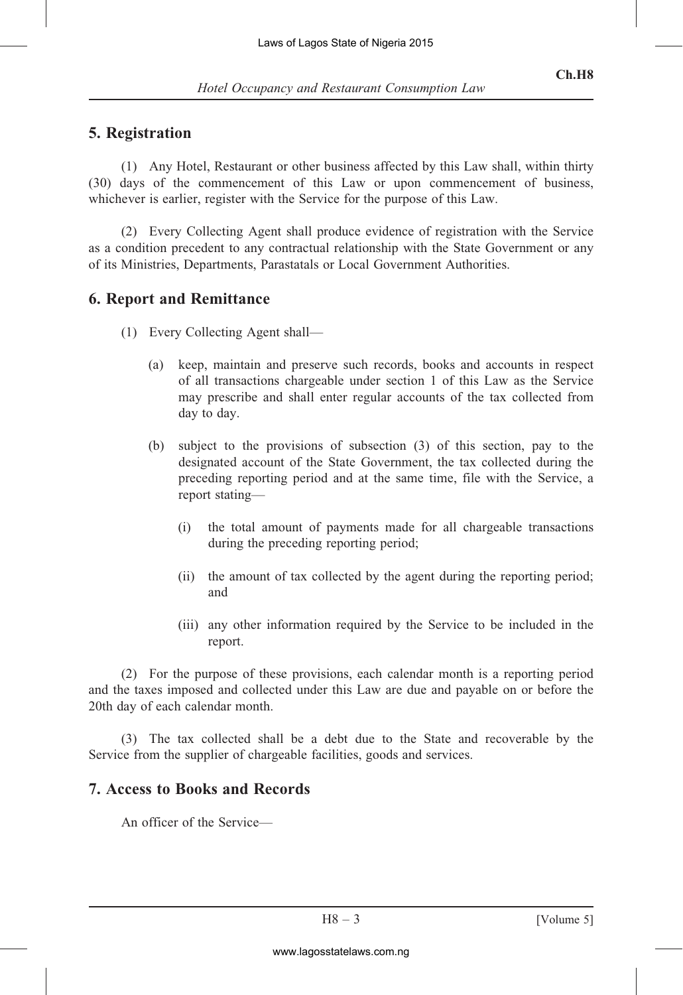## 5. Registration

(1) Any Hotel, Restaurant or other business affected by this Law shall, within thirty (30) days of the commencement of this Law or upon commencement of business, whichever is earlier, register with the Service for the purpose of this Law.

(2) Every Collecting Agent shall produce evidence of registration with the Service as a condition precedent to any contractual relationship with the State Government or any of its Ministries, Departments, Parastatals or Local Government Authorities.

## 6. Report and Remittance

- (1) Every Collecting Agent shall—
	- (a) keep, maintain and preserve such records, books and accounts in respect of all transactions chargeable under section 1 of this Law as the Service may prescribe and shall enter regular accounts of the tax collected from day to day.
- (b) subject to the provisions of subsection (3) of this section, pay to the designated account of the State Government, the tax collected during the preceding reporting period and at the same time, file with the Service, a report stating— Laws of Lagos State of Nigeria 2015<br>
cupancy and Restaurant Consump<br>
rant or other business affected by<br>
rement of this Law or upon c<br>
with the Service for the purpose c<br>
Agent shall produce evidence of<br>
Agent shall—<br>
in
	- (i) the total amount of payments made for all chargeable transactions during the preceding reporting period;
	- (ii) the amount of tax collected by the agent during the reporting period; and
	- (iii) any other information required by the Service to be included in the report.

(2) For the purpose of these provisions, each calendar month is a reporting period and the taxes imposed and collected under this Law are due and payable on or before the 20th day of each calendar month.

(3) The tax collected shall be a debt due to the State and recoverable by the Service from the supplier of chargeable facilities, goods and services.

#### 7. Access to Books and Records

An officer of the Service—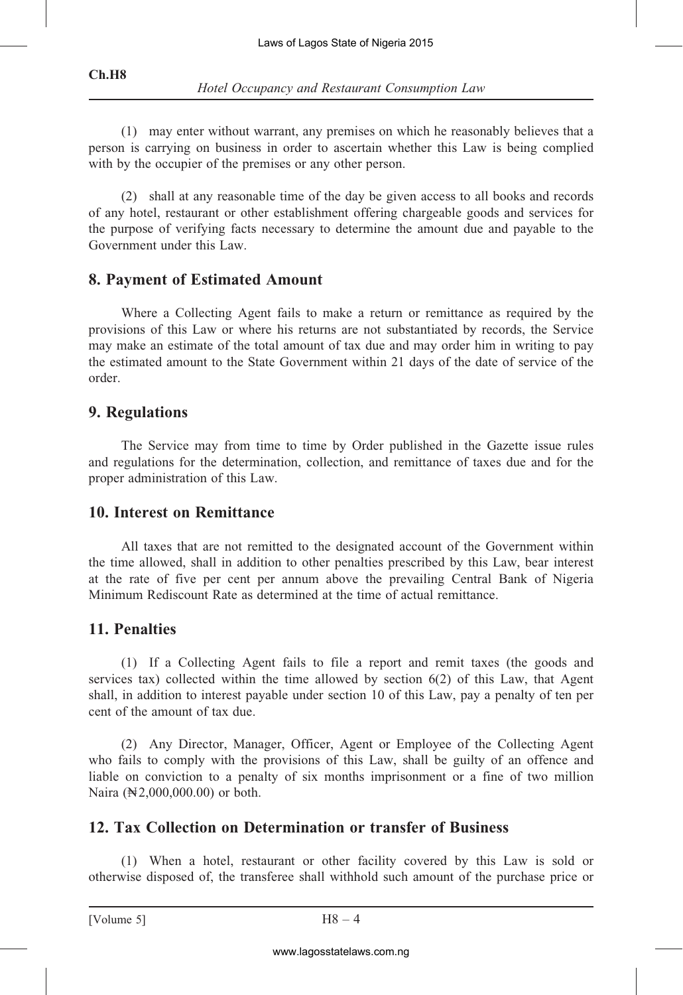(1) may enter without warrant, any premises on which he reasonably believes that a person is carrying on business in order to ascertain whether this Law is being complied with by the occupier of the premises or any other person.

(2) shall at any reasonable time of the day be given access to all books and records of any hotel, restaurant or other establishment offering chargeable goods and services for the purpose of verifying facts necessary to determine the amount due and payable to the Government under this Law.

# 8. Payment of Estimated Amount

Where a Collecting Agent fails to make a return or remittance as required by the provisions of this Law or where his returns are not substantiated by records, the Service may make an estimate of the total amount of tax due and may order him in writing to pay the estimated amount to the State Government within 21 days of the date of service of the order. Laws of Lagos State of Nigeria 2015<br>
cupancy and Restaurant Consump<br>
varrant, any premises on which l<br>
sessiment any premises on which<br>
remises or any other person.<br>
anable time of the day be given accoment<br>
ther establis

## 9. Regulations

The Service may from time to time by Order published in the Gazette issue rules and regulations for the determination, collection, and remittance of taxes due and for the proper administration of this Law.

#### 10. Interest on Remittance

All taxes that are not remitted to the designated account of the Government within the time allowed, shall in addition to other penalties prescribed by this Law, bear interest at the rate of five per cent per annum above the prevailing Central Bank of Nigeria Minimum Rediscount Rate as determined at the time of actual remittance.

#### 11. Penalties

(1) If a Collecting Agent fails to file a report and remit taxes (the goods and services tax) collected within the time allowed by section 6(2) of this Law, that Agent shall, in addition to interest payable under section 10 of this Law, pay a penalty of ten per cent of the amount of tax due.

(2) Any Director, Manager, Officer, Agent or Employee of the Collecting Agent who fails to comply with the provisions of this Law, shall be guilty of an offence and liable on conviction to a penalty of six months imprisonment or a fine of two million Naira (N<sub>2</sub>,000,000.00) or both.

#### 12. Tax Collection on Determination or transfer of Business

(1) When a hotel, restaurant or other facility covered by this Law is sold or otherwise disposed of, the transferee shall withhold such amount of the purchase price or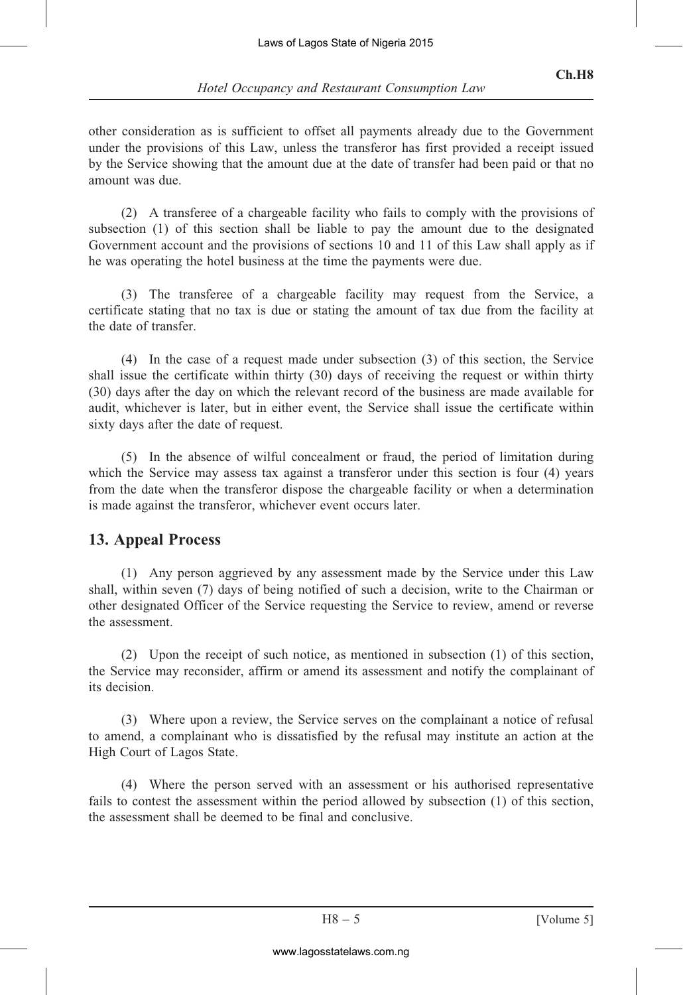other consideration as is sufficient to offset all payments already due to the Government under the provisions of this Law, unless the transferor has first provided a receipt issued by the Service showing that the amount due at the date of transfer had been paid or that no amount was due.

(2) A transferee of a chargeable facility who fails to comply with the provisions of subsection (1) of this section shall be liable to pay the amount due to the designated Government account and the provisions of sections 10 and 11 of this Law shall apply as if he was operating the hotel business at the time the payments were due.

(3) The transferee of a chargeable facility may request from the Service, a certificate stating that no tax is due or stating the amount of tax due from the facility at the date of transfer.

(4) In the case of a request made under subsection (3) of this section, the Service shall issue the certificate within thirty (30) days of receiving the request or within thirty (30) days after the day on which the relevant record of the business are made available for audit, whichever is later, but in either event, the Service shall issue the certificate within sixty days after the date of request. Laws of Lagos State of Nigeria 2015<br>
cupancy and Restaurant Consump<br>
ficient to offset all payments alre<br>
Law, unless the transferor has fin<br>
Law, unless the transferor has fin<br>
the amount due at the date of trans<br>
charge

(5) In the absence of wilful concealment or fraud, the period of limitation during which the Service may assess tax against a transferor under this section is four (4) years from the date when the transferor dispose the chargeable facility or when a determination is made against the transferor, whichever event occurs later.

#### 13. Appeal Process

(1) Any person aggrieved by any assessment made by the Service under this Law shall, within seven (7) days of being notified of such a decision, write to the Chairman or other designated Officer of the Service requesting the Service to review, amend or reverse the assessment.

(2) Upon the receipt of such notice, as mentioned in subsection (1) of this section, the Service may reconsider, affirm or amend its assessment and notify the complainant of its decision.

(3) Where upon a review, the Service serves on the complainant a notice of refusal to amend, a complainant who is dissatisfied by the refusal may institute an action at the High Court of Lagos State.

(4) Where the person served with an assessment or his authorised representative fails to contest the assessment within the period allowed by subsection (1) of this section, the assessment shall be deemed to be final and conclusive.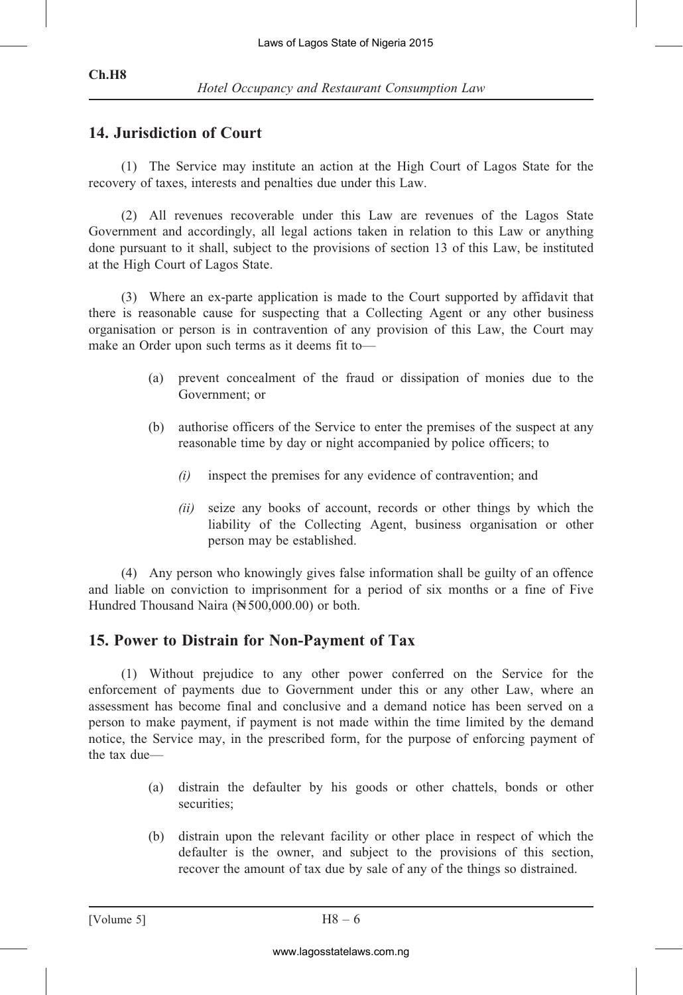#### Ch.H8

## 14. Jurisdiction of Court

(1) The Service may institute an action at the High Court of Lagos State for the recovery of taxes, interests and penalties due under this Law.

(2) All revenues recoverable under this Law are revenues of the Lagos State Government and accordingly, all legal actions taken in relation to this Law or anything done pursuant to it shall, subject to the provisions of section 13 of this Law, be instituted at the High Court of Lagos State.

(3) Where an ex-parte application is made to the Court supported by affidavit that there is reasonable cause for suspecting that a Collecting Agent or any other business organisation or person is in contravention of any provision of this Law, the Court may make an Order upon such terms as it deems fit to—

- (a) prevent concealment of the fraud or dissipation of monies due to the Government; or
- (b) authorise officers of the Service to enter the premises of the suspect at any reasonable time by day or night accompanied by police officers; to
	- $(i)$  inspect the premises for any evidence of contravention; and
	- (ii) seize any books of account, records or other things by which the liability of the Collecting Agent, business organisation or other person may be established.

(4) Any person who knowingly gives false information shall be guilty of an offence and liable on conviction to imprisonment for a period of six months or a fine of Five Hundred Thousand Naira ( $\cancel{\text{N}}$  500,000.00) or both.

# 15. Power to Distrain for Non-Payment of Tax

(1) Without prejudice to any other power conferred on the Service for the enforcement of payments due to Government under this or any other Law, where an assessment has become final and conclusive and a demand notice has been served on a person to make payment, if payment is not made within the time limited by the demand notice, the Service may, in the prescribed form, for the purpose of enforcing payment of the tax due— Laws of Lagos State of Nigeria 2015<br>
cupancy and Restaurant Consump<br> **rt**<br>
institute an action at the High C<br>
order this Law.<br>
overable under this Law are re<br>
overable under this Law are re<br> *i*, all legal actions taken i

- (a) distrain the defaulter by his goods or other chattels, bonds or other securities;
- (b) distrain upon the relevant facility or other place in respect of which the defaulter is the owner, and subject to the provisions of this section, recover the amount of tax due by sale of any of the things so distrained.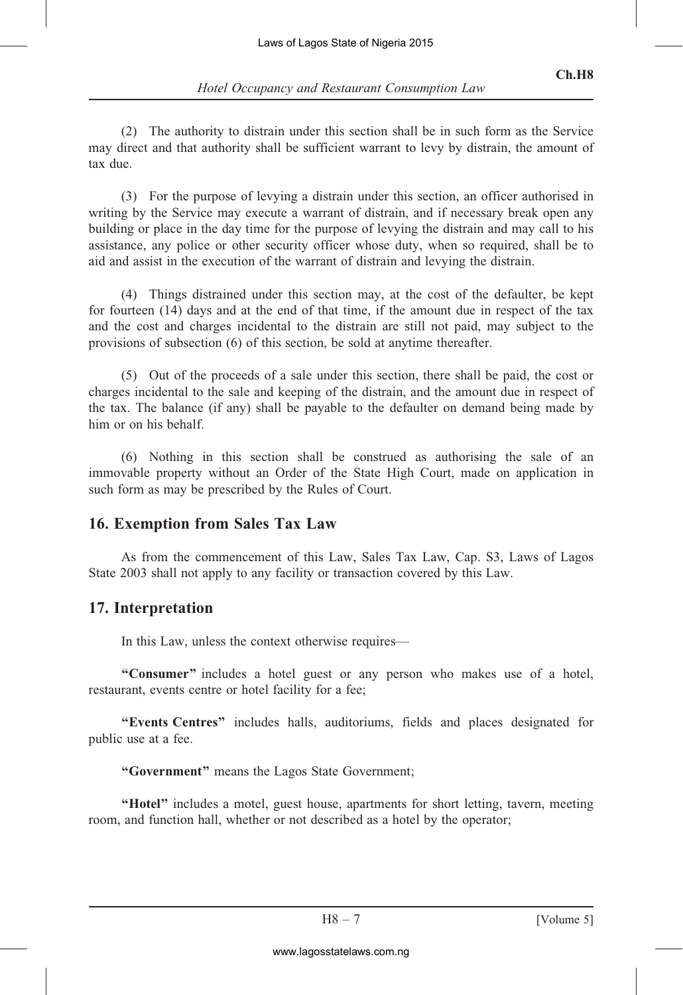(2) The authority to distrain under this section shall be in such form as the Service may direct and that authority shall be sufficient warrant to levy by distrain, the amount of tax due.

(3) For the purpose of levying a distrain under this section, an officer authorised in writing by the Service may execute a warrant of distrain, and if necessary break open any building or place in the day time for the purpose of levying the distrain and may call to his assistance, any police or other security officer whose duty, when so required, shall be to aid and assist in the execution of the warrant of distrain and levying the distrain. Laws of Lagos State of Nigeria 2015<br>
cupancy and Restaurant Consump<br>
listrain under this section shall be<br>
shall be sufficient warrant to lev<br>
shall be sufficient warrant to lev<br>
sxecute a warrant of distrain and le<br>
er s

(4) Things distrained under this section may, at the cost of the defaulter, be kept for fourteen (14) days and at the end of that time, if the amount due in respect of the tax and the cost and charges incidental to the distrain are still not paid, may subject to the provisions of subsection (6) of this section, be sold at anytime thereafter.

(5) Out of the proceeds of a sale under this section, there shall be paid, the cost or charges incidental to the sale and keeping of the distrain, and the amount due in respect of the tax. The balance (if any) shall be payable to the defaulter on demand being made by him or on his behalf.

(6) Nothing in this section shall be construed as authorising the sale of an immovable property without an Order of the State High Court, made on application in such form as may be prescribed by the Rules of Court.

# 16. Exemption from Sales Tax Law

As from the commencement of this Law, Sales Tax Law, Cap. S3, Laws of Lagos State 2003 shall not apply to any facility or transaction covered by this Law.

# 17. Interpretation

In this Law, unless the context otherwise requires—

"Consumer" includes a hotel guest or any person who makes use of a hotel, restaurant, events centre or hotel facility for a fee;

''Events Centres'' includes halls, auditoriums, fields and places designated for public use at a fee.

''Government'' means the Lagos State Government;

"Hotel" includes a motel, guest house, apartments for short letting, tavern, meeting room, and function hall, whether or not described as a hotel by the operator;